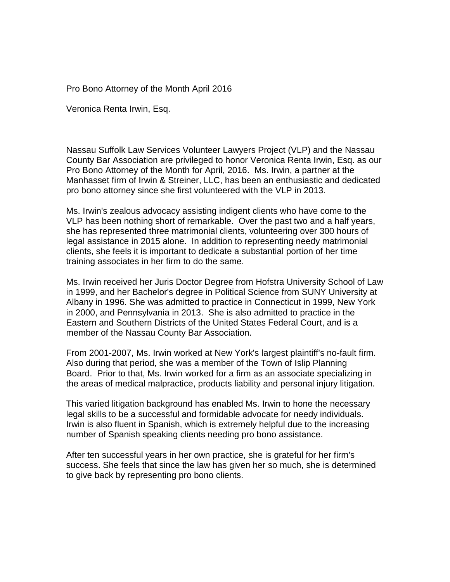## Pro Bono Attorney of the Month April 2016

Veronica Renta Irwin, Esq.

Nassau Suffolk Law Services Volunteer Lawyers Project (VLP) and the Nassau County Bar Association are privileged to honor Veronica Renta Irwin, Esq. as our Pro Bono Attorney of the Month for April, 2016. Ms. Irwin, a partner at the Manhasset firm of Irwin & Streiner, LLC, has been an enthusiastic and dedicated pro bono attorney since she first volunteered with the VLP in 2013.

Ms. Irwin's zealous advocacy assisting indigent clients who have come to the VLP has been nothing short of remarkable. Over the past two and a half years, she has represented three matrimonial clients, volunteering over 300 hours of legal assistance in 2015 alone. In addition to representing needy matrimonial clients, she feels it is important to dedicate a substantial portion of her time training associates in her firm to do the same.

Ms. Irwin received her Juris Doctor Degree from Hofstra University School of Law in 1999, and her Bachelor's degree in Political Science from SUNY University at Albany in 1996. She was admitted to practice in Connecticut in 1999, New York in 2000, and Pennsylvania in 2013. She is also admitted to practice in the Eastern and Southern Districts of the United States Federal Court, and is a member of the Nassau County Bar Association.

From 2001-2007, Ms. Irwin worked at New York's largest plaintiff's no-fault firm. Also during that period, she was a member of the Town of Islip Planning Board. Prior to that, Ms. Irwin worked for a firm as an associate specializing in the areas of medical malpractice, products liability and personal injury litigation.

This varied litigation background has enabled Ms. Irwin to hone the necessary legal skills to be a successful and formidable advocate for needy individuals. Irwin is also fluent in Spanish, which is extremely helpful due to the increasing number of Spanish speaking clients needing pro bono assistance.

After ten successful years in her own practice, she is grateful for her firm's success. She feels that since the law has given her so much, she is determined to give back by representing pro bono clients.